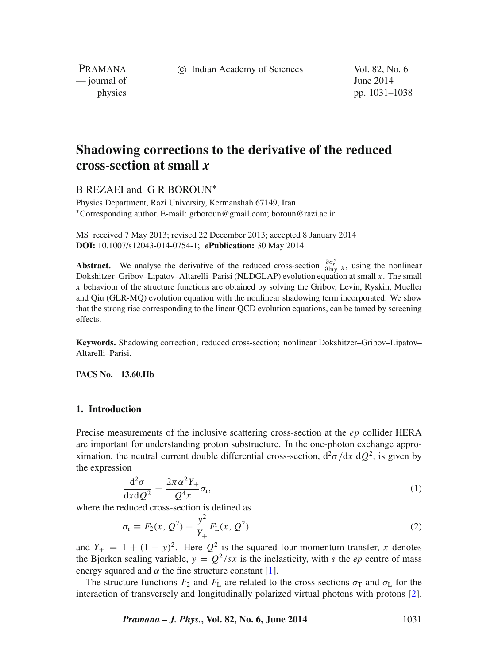c Indian Academy of Sciences Vol. 82, No. 6

PRAMANA — journal of June 2014

physics pp. 1031–1038

# **Shadowing corrections to the derivative of the reduced cross-section at small** *x*

B REZAEI and G R BOROUN<sup>\*</sup>

Physics Department, Razi University, Kermanshah 67149, Iran ∗Corresponding author. E-mail: grboroun@gmail.com; boroun@razi.ac.ir

MS received 7 May 2013; revised 22 December 2013; accepted 8 January 2014 **DOI:** 10.1007/s12043-014-0754-1; *e***Publication:** 30 May 2014

**Abstract.** We analyse the derivative of the reduced cross-section  $\frac{\partial \sigma^z}{\partial \ln y}|_x$ , using the nonlinear Dokshitzer–Gribov–Lipatov–Altarelli–Parisi (NLDGLAP) evolution equation at small *x*. The small *x* behaviour of the structure functions are obtained by solving the Gribov, Levin, Ryskin, Mueller and Qiu (GLR-MQ) evolution equation with the nonlinear shadowing term incorporated. We show that the strong rise corresponding to the linear QCD evolution equations, can be tamed by screening effects.

**Keywords.** Shadowing correction; reduced cross-section; nonlinear Dokshitzer–Gribov–Lipatov– Altarelli–Parisi.

**PACS No. 13.60.Hb**

### **1. Introduction**

Precise measurements of the inclusive scattering cross-section at the *ep* collider HERA are important for understanding proton substructure. In the one-photon exchange approximation, the neutral current double differential cross-section,  $d^2\sigma/dx \ dQ^2$ , is given by the expression

<span id="page-0-0"></span>
$$
\frac{\mathrm{d}^2 \sigma}{\mathrm{d}x \mathrm{d}Q^2} = \frac{2\pi \alpha^2 Y_+}{Q^4 x} \sigma_r,\tag{1}
$$

where the reduced cross-section is defined as

$$
\sigma_{\rm r} \equiv F_2(x, Q^2) - \frac{y^2}{Y_+} F_{\rm L}(x, Q^2)
$$
\n(2)

and  $Y_+ = 1 + (1 - y)^2$ . Here  $Q^2$  is the squared four-momentum transfer, *x* denotes the Bjorken scaling variable,  $y = Q^2/sx$  is the inelasticity, with *s* the *ep* centre of mass energy squared and  $\alpha$  the fine structure constant [\[1\]](#page-6-0).

The structure functions  $F_2$  and  $F_L$  are related to the cross-sections  $\sigma_T$  and  $\sigma_L$  for the interaction of transversely and longitudinally polarized virtual photons with protons [\[2\]](#page-6-1).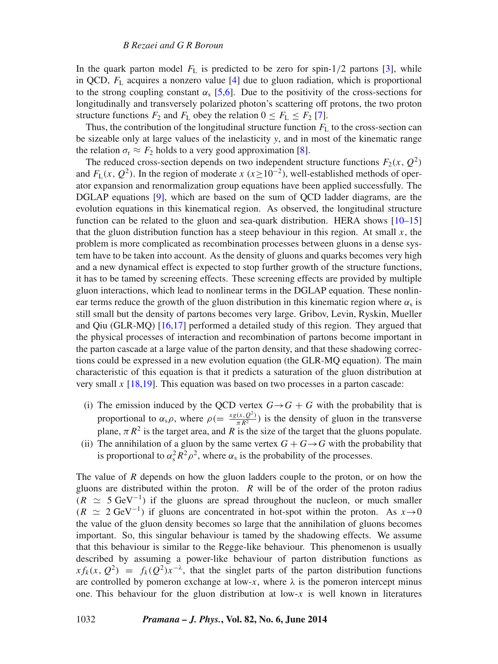In the quark parton model  $F<sub>L</sub>$  is predicted to be zero for spin-1/2 partons [\[3\]](#page-6-2), while in QCD,  $F<sub>L</sub>$  acquires a nonzero value [\[4\]](#page-6-3) due to gluon radiation, which is proportional to the strong coupling constant  $\alpha_s$  [\[5,](#page-6-4)[6\]](#page-6-5). Due to the positivity of the cross-sections for longitudinally and transversely polarized photon's scattering off protons, the two proton structure functions  $F_2$  and  $F_L$  obey the relation  $0 \leq F_L \leq F_2$  [\[7\]](#page-6-6).

Thus, the contribution of the longitudinal structure function  $F<sub>L</sub>$  to the cross-section can be sizeable only at large values of the inelasticity  $y$ , and in most of the kinematic range the relation  $\sigma_r \approx F_2$  holds to a very good approximation [\[8\]](#page-6-7).

The reduced cross-section depends on two independent structure functions  $F_2(x, Q^2)$ and  $F<sub>L</sub>(x, Q<sup>2</sup>)$ . In the region of moderate *x* (*x* ≥ 10<sup>-2</sup>), well-established methods of operator expansion and renormalization group equations have been applied successfully. The DGLAP equations [\[9\]](#page-6-8), which are based on the sum of QCD ladder diagrams, are the evolution equations in this kinematical region. As observed, the longitudinal structure function can be related to the gluon and sea-quark distribution. HERA shows  $[10-15]$  $[10-15]$ that the gluon distribution function has a steep behaviour in this region. At small  $x$ , the problem is more complicated as recombination processes between gluons in a dense system have to be taken into account. As the density of gluons and quarks becomes very high and a new dynamical effect is expected to stop further growth of the structure functions, it has to be tamed by screening effects. These screening effects are provided by multiple gluon interactions, which lead to nonlinear terms in the DGLAP equation. These nonlinear terms reduce the growth of the gluon distribution in this kinematic region where  $\alpha_s$  is still small but the density of partons becomes very large. Gribov, Levin, Ryskin, Mueller and Qiu (GLR-MQ) [\[16,](#page-7-1)[17\]](#page-7-2) performed a detailed study of this region. They argued that the physical processes of interaction and recombination of partons become important in the parton cascade at a large value of the parton density, and that these shadowing corrections could be expressed in a new evolution equation (the GLR-MQ equation). The main characteristic of this equation is that it predicts a saturation of the gluon distribution at very small  $x$  [\[18](#page-7-3)[,19\]](#page-7-4). This equation was based on two processes in a parton cascade:

- (i) The emission induced by the QCD vertex  $G \rightarrow G + G$  with the probability that is proportional to  $\alpha_s \rho$ , where  $\rho = \frac{x g(x, Q^2)}{\pi R^2}$  is the density of gluon in the transverse plane,  $\pi R^2$  is the target area, and R is the size of the target that the gluons populate.
- (ii) The annihilation of a gluon by the same vertex  $G + G \rightarrow G$  with the probability that is proportional to  $\alpha_s^2 R^2 \rho^2$ , where  $\alpha_s$  is the probability of the processes.

The value of *R* depends on how the gluon ladders couple to the proton, or on how the gluons are distributed within the proton. *R* will be of the order of the proton radius  $(R \simeq 5 \text{ GeV}^{-1})$  if the gluons are spread throughout the nucleon, or much smaller  $(R \simeq 2 \text{ GeV}^{-1})$  if gluons are concentrated in hot-spot within the proton. As  $x \rightarrow 0$ the value of the gluon density becomes so large that the annihilation of gluons becomes important. So, this singular behaviour is tamed by the shadowing effects. We assume that this behaviour is similar to the Regge-like behaviour. This phenomenon is usually described by assuming a power-like behaviour of parton distribution functions as  $xf_k(x, Q^2) = f_k(Q^2)x^{-\lambda}$ , that the singlet parts of the parton distribution functions are controlled by pomeron exchange at low- $x$ , where  $\lambda$  is the pomeron intercept minus one. This behaviour for the gluon distribution at low-*x* is well known in literatures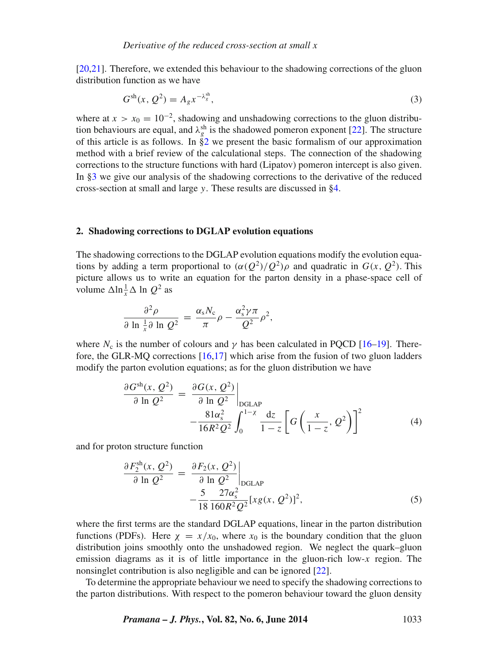[\[20,](#page-7-5)[21\]](#page-7-6). Therefore, we extended this behaviour to the shadowing corrections of the gluon distribution function as we have

<span id="page-2-3"></span>
$$
G^{\rm sh}(x, \, Q^2) = A_g x^{-\lambda_g^{\rm sh}},\tag{3}
$$

where at  $x > x_0 = 10^{-2}$ , shadowing and unshadowing corrections to the gluon distribution behaviours are equal, and  $\lambda_g^{\text{sh}}$  is the shadowed pomeron exponent [\[22\]](#page-7-7). The structure of this article is as follows. In  $\stackrel{\circ}{\S2}$  we present the basic formalism of our approximation method with a brief review of the calculational steps. The connection of the shadowing corrections to the structure functions with hard (Lipatov) pomeron intercept is also given. In [§3](#page-4-0) we give our analysis of the shadowing corrections to the derivative of the reduced cross-section at small and large *y*. These results are discussed in [§4.](#page-6-10)

#### <span id="page-2-0"></span>**2. Shadowing corrections to DGLAP evolution equations**

The shadowing corrections to the DGLAP evolution equations modify the evolution equations by adding a term proportional to  $(\alpha(Q^2)/Q^2)\rho$  and quadratic in  $G(x, Q^2)$ . This picture allows us to write an equation for the parton density in a phase-space cell of volume  $\Delta \ln \frac{1}{x} \Delta \ln Q^2$  as

$$
\frac{\partial^2 \rho}{\partial \ln \frac{1}{x} \partial \ln Q^2} = \frac{\alpha_s N_c}{\pi} \rho - \frac{\alpha_s^2 \gamma \pi}{Q^2} \rho^2,
$$

where  $N_c$  is the number of colours and  $\gamma$  has been calculated in PQCD [\[16–](#page-7-1)[19\]](#page-7-4). Therefore, the GLR-MQ corrections [\[16](#page-7-1)[,17\]](#page-7-2) which arise from the fusion of two gluon ladders modify the parton evolution equations; as for the gluon distribution we have

<span id="page-2-1"></span>
$$
\frac{\partial G^{\text{sh}}(x, Q^2)}{\partial \ln Q^2} = \frac{\partial G(x, Q^2)}{\partial \ln Q^2} \Big|_{\text{DGLAP}} - \frac{81\alpha_s^2}{16R^2Q^2} \int_0^{1-\chi} \frac{\mathrm{d}z}{1-z} \left[ G\left(\frac{x}{1-z}, Q^2\right) \right]^2 \tag{4}
$$

and for proton structure function

<span id="page-2-2"></span>
$$
\frac{\partial F_2^{\text{sh}}(x, Q^2)}{\partial \ln Q^2} = \frac{\partial F_2(x, Q^2)}{\partial \ln Q^2} \Big|_{\text{DGLAP}} -\frac{5}{18} \frac{27\alpha_s^2}{160R^2Q^2} [xg(x, Q^2)]^2,\tag{5}
$$

where the first terms are the standard DGLAP equations, linear in the parton distribution functions (PDFs). Here  $\chi = x/x_0$ , where  $x_0$  is the boundary condition that the gluon distribution joins smoothly onto the unshadowed region. We neglect the quark–gluon emission diagrams as it is of little importance in the gluon-rich low-*x* region. The nonsinglet contribution is also negligible and can be ignored [\[22\]](#page-7-7).

To determine the appropriate behaviour we need to specify the shadowing corrections to the parton distributions. With respect to the pomeron behaviour toward the gluon density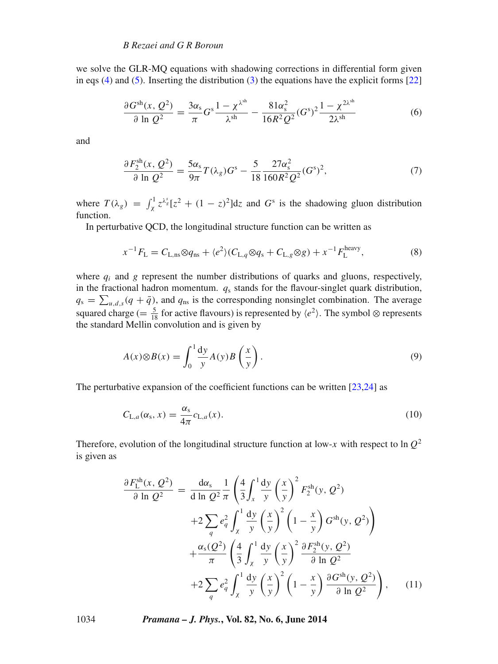we solve the GLR-MQ equations with shadowing corrections in differential form given in eqs [\(4\)](#page-2-1) and [\(5\)](#page-2-2). Inserting the distribution [\(3\)](#page-2-3) the equations have the explicit forms  $[22]$ 

<span id="page-3-0"></span>
$$
\frac{\partial G^{\text{sh}}(x, Q^2)}{\partial \ln Q^2} = \frac{3\alpha_s}{\pi} G^s \frac{1 - \chi^{\lambda^{\text{sh}}}}{\lambda^{\text{sh}}} - \frac{81\alpha_s^2}{16R^2 Q^2} (G^s)^2 \frac{1 - \chi^{2\lambda^{\text{sh}}}}{2\lambda^{\text{sh}}} \tag{6}
$$

and

<span id="page-3-1"></span>
$$
\frac{\partial F_2^{\text{sh}}(x, Q^2)}{\partial \ln Q^2} = \frac{5\alpha_s}{9\pi} T(\lambda_g) G^s - \frac{5}{18} \frac{27\alpha_s^2}{160R^2 Q^2} (G^s)^2,\tag{7}
$$

where  $T(\lambda_g) = \int_{\chi}^{1} z^{\lambda_g^s} [z^2 + (1 - z)^2] dz$  and  $G^s$  is the shadowing gluon distribution function.

In perturbative QCD, the longitudinal structure function can be written as

$$
x^{-1}F_{\rm L} = C_{\rm L,ns}\otimes q_{\rm ns} + \langle e^2 \rangle (C_{\rm L,q}\otimes q_{\rm s} + C_{\rm L,g}\otimes g) + x^{-1}F_{\rm L}^{\rm heavy},\tag{8}
$$

where  $q_i$  and  $g$  represent the number distributions of quarks and gluons, respectively, in the fractional hadron momentum. *q*<sup>s</sup> stands for the flavour-singlet quark distribution,  $q_s = \sum_{u,d,s} (q + \bar{q})$ , and  $q_{ns}$  is the corresponding nonsinglet combination. The average squared charge (=  $\frac{5}{18}$  for active flavours) is represented by *(e*<sup>2</sup>). The symbol ⊗ represents the standard Mellin convolution and is given by

$$
A(x)\otimes B(x) = \int_0^1 \frac{dy}{y} A(y) B\left(\frac{x}{y}\right). \tag{9}
$$

The perturbative expansion of the coefficient functions can be written [\[23](#page-7-8)[,24\]](#page-7-9) as

$$
C_{\mathrm{L},a}(\alpha_{\mathrm{s}},x) = \frac{\alpha_{\mathrm{s}}}{4\pi}c_{\mathrm{L},a}(x). \tag{10}
$$

Therefore, evolution of the longitudinal structure function at low- $x$  with respect to ln  $Q^2$ is given as

$$
\frac{\partial F_{\rm L}^{\rm sh}(x, Q^2)}{\partial \ln Q^2} = \frac{d\alpha_s}{d \ln Q^2} \frac{1}{\pi} \left( \frac{4}{3} \int_x^1 \frac{dy}{y} \left( \frac{x}{y} \right)^2 F_2^{\rm sh}(y, Q^2) \right. \\
\left. + 2 \sum_q e_q^2 \int_x^1 \frac{dy}{y} \left( \frac{x}{y} \right)^2 \left( 1 - \frac{x}{y} \right) G^{\rm sh}(y, Q^2) \right) \\
\left. + \frac{\alpha_s(Q^2)}{\pi} \left( \frac{4}{3} \int_x^1 \frac{dy}{y} \left( \frac{x}{y} \right)^2 \frac{\partial F_2^{\rm sh}(y, Q^2)}{\partial \ln Q^2} \right. \\
\left. + 2 \sum_q e_q^2 \int_x^1 \frac{dy}{y} \left( \frac{x}{y} \right)^2 \left( 1 - \frac{x}{y} \right) \frac{\partial G^{\rm sh}(y, Q^2)}{\partial \ln Q^2} \right), \quad (11)
$$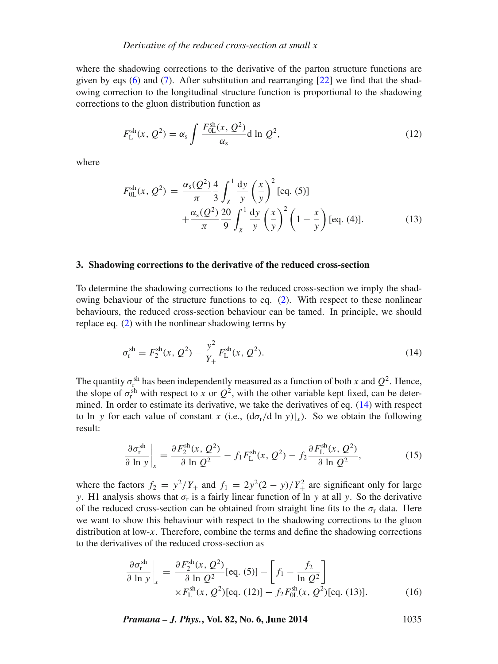where the shadowing corrections to the derivative of the parton structure functions are given by eqs [\(6\)](#page-3-0) and [\(7\)](#page-3-1). After substitution and rearranging [\[22\]](#page-7-7) we find that the shadowing correction to the longitudinal structure function is proportional to the shadowing corrections to the gluon distribution function as

$$
F_{\rm L}^{\rm sh}(x, Q^2) = \alpha_{\rm s} \int \frac{F_{\rm 0L}^{\rm sh}(x, Q^2)}{\alpha_{\rm s}} d\ln Q^2,\tag{12}
$$

where

$$
F_{0L}^{sh}(x, Q^2) = \frac{\alpha_s(Q^2)}{\pi} \frac{4}{3} \int_{\chi}^{1} \frac{dy}{y} \left(\frac{x}{y}\right)^2 [\text{eq. (5)}] + \frac{\alpha_s(Q^2)}{\pi} \frac{20}{9} \int_{\chi}^{1} \frac{dy}{y} \left(\frac{x}{y}\right)^2 \left(1 - \frac{x}{y}\right) [\text{eq. (4)}].
$$
 (13)

#### <span id="page-4-0"></span>**3. Shadowing corrections to the derivative of the reduced cross-section**

To determine the shadowing corrections to the reduced cross-section we imply the shadowing behaviour of the structure functions to eq. [\(2\)](#page-0-0). With respect to these nonlinear behaviours, the reduced cross-section behaviour can be tamed. In principle, we should replace eq. [\(2\)](#page-0-0) with the nonlinear shadowing terms by

<span id="page-4-1"></span>
$$
\sigma_{\rm r}^{\rm sh} = F_2^{\rm sh}(x, Q^2) - \frac{y^2}{Y_+} F_{\rm L}^{\rm sh}(x, Q^2). \tag{14}
$$

The quantity  $\sigma_{\rm r}^{\rm sh}$  has been independently measured as a function of both *x* and  $Q^2$ . Hence, the slope of  $\sigma_r^{\text{sh}}$  with respect to *x* or  $Q^2$ , with the other variable kept fixed, can be determined. In order to estimate its derivative, we take the derivatives of eq. [\(14\)](#page-4-1) with respect to ln *y* for each value of constant *x* (i.e.,  $(d\sigma_r/d \ln y)|_x$ ). So we obtain the following result:

$$
\frac{\partial \sigma_{\rm r}^{\rm sh}}{\partial \ln y}\bigg|_{x} = \frac{\partial F_2^{\rm sh}(x, \mathcal{Q}^2)}{\partial \ln \mathcal{Q}^2} - f_1 F_{\rm L}^{\rm sh}(x, \mathcal{Q}^2) - f_2 \frac{\partial F_{\rm L}^{\rm sh}(x, \mathcal{Q}^2)}{\partial \ln \mathcal{Q}^2},\tag{15}
$$

where the factors  $f_2 = y^2/Y_+$  and  $f_1 = 2y^2(2 - y)/Y_+^2$  are significant only for large *y*. H1 analysis shows that  $\sigma_r$  is a fairly linear function of ln *y* at all *y*. So the derivative of the reduced cross-section can be obtained from straight line fits to the  $\sigma_r$  data. Here we want to show this behaviour with respect to the shadowing corrections to the gluon distribution at low-*x*. Therefore, combine the terms and define the shadowing corrections to the derivatives of the reduced cross-section as

$$
\frac{\partial \sigma_{\rm r}^{\rm sh}}{\partial \ln y}\Big|_{x} = \frac{\partial F_{2}^{\rm sh}(x, Q^{2})}{\partial \ln Q^{2}} [\text{eq. (5)}] - \left[ f_{1} - \frac{f_{2}}{\ln Q^{2}} \right] \times F_{\rm L}^{\rm sh}(x, Q^{2}) [\text{eq. (12)}] - f_{2} F_{0\rm L}^{\rm sh}(x, Q^{2}) [\text{eq. (13)}].
$$
\n(16)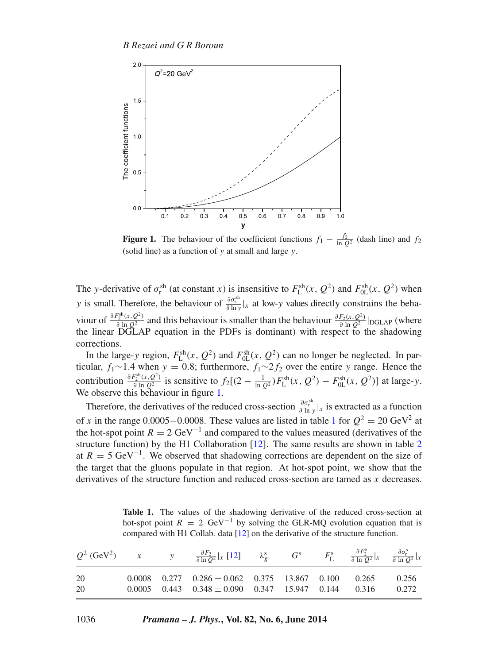<span id="page-5-0"></span>

**Figure 1.** The behaviour of the coefficient functions  $f_1 - \frac{f_2}{\ln Q^2}$  (dash line) and  $f_2$ (solid line) as a function of *y* at small and large *y*.

The *y*-derivative of  $\sigma_r^{sh}$  (at constant *x*) is insensitive to  $F_L^{sh}(x, Q^2)$  and  $F_{0L}^{sh}(x, Q^2)$  when *y* is small. Therefore, the behaviour of  $\frac{\partial \sigma_r^{sh}}{\partial \ln y}|_x$  at low-*y* values directly constrains the behaviour of  $\frac{\partial F_2^{sh}(x, Q^2)}{\partial \ln Q^2}$  and this behaviour is smaller than the behaviour  $\frac{\partial F_2(x, Q^2)}{\partial \ln Q^2}$  |DGLAP (where the linear DGLAP equation in the PDFs is dominant) with respect to the shadowing corrections.

In the large-*y* region,  $F_{\text{L}}^{\text{sh}}(x, Q^2)$  and  $F_{\text{0L}}^{\text{sh}}(x, Q^2)$  can no longer be neglected. In particular, *f*1∼1*.*4 when *y* = 0*.*8; furthermore, *f*1∼2*f*<sup>2</sup> over the entire *y* range. Hence the contribution  $\frac{\partial F_2^{\text{sh}}(x, Q^2)}{\partial \ln Q^2}$  is sensitive to  $f_2[(2 - \frac{1}{\ln Q^2})F_L^{\text{sh}}(x, Q^2) - F_{0L}^{\text{sh}}(x, Q^2)]$  at large-y. We observe this behaviour in figure [1.](#page-5-0)

Therefore, the derivatives of the reduced cross-section  $\frac{\partial \sigma_i^{sh}}{\partial \ln y}|_x$  is extracted as a function of *x* in the range 0.0005−0.0008. These values are listed in table [1](#page-5-1) for  $Q^2 = 20 \text{ GeV}^2$  at the hot-spot point  $R = 2 \text{ GeV}^{-1}$  and compared to the values measured (derivatives of the structure function) by the H1 Collaboration  $[12]$ . The same results are shown in table [2](#page-6-12) at  $R = 5 \text{ GeV}^{-1}$ . We observed that shadowing corrections are dependent on the size of the target that the gluons populate in that region. At hot-spot point, we show that the derivatives of the structure function and reduced cross-section are tamed as *x* decreases.

Table 1. The values of the shadowing derivative of the reduced cross-section at hot-spot point  $R = 2 \text{ GeV}^{-1}$  by solving the GLR-MQ evolution equation that is compared with H1 Collab. data [\[12\]](#page-6-11) on the derivative of the structure function.

<span id="page-5-1"></span>

|          |  | $Q^2$ (GeV <sup>2</sup> ) x y $\frac{\partial F_2}{\partial \ln Q^2} _x$ [12] $\lambda_g^s$ $G^s$ $F^s_L$ $\frac{\partial F^s_2}{\partial \ln Q^2} _x$ $\frac{\partial \sigma_i^s}{\partial \ln Q^2} _x$ |  |  |                |
|----------|--|----------------------------------------------------------------------------------------------------------------------------------------------------------------------------------------------------------|--|--|----------------|
| 20<br>20 |  | $0.0008$ $0.277$ $0.286 \pm 0.062$ $0.375$ $13.867$ $0.100$ $0.265$<br>$0.0005$ $0.443$ $0.348 \pm 0.090$ $0.347$ $15.947$ $0.144$ $0.316$                                                               |  |  | 0.256<br>0.272 |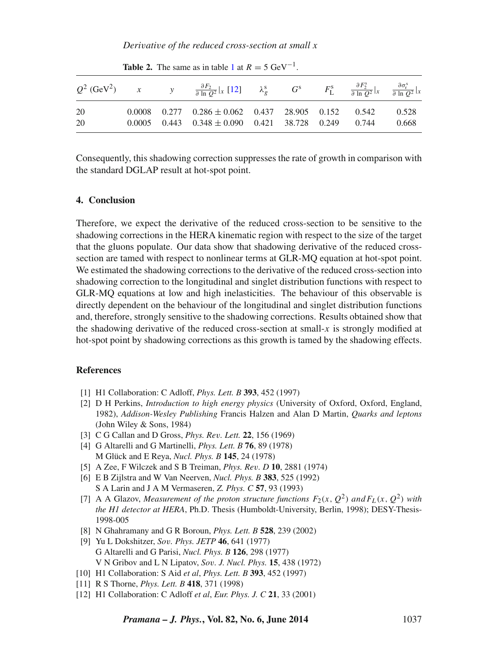*Derivative of the reduced cross-section at small x*

<span id="page-6-12"></span>

|            |  | $Q^2$ (GeV <sup>2</sup> ) x y $\frac{\partial F_2}{\partial \ln Q^2} _x$ [12] $\lambda_g^s$ $G^s$ $F^s_L$ $\frac{\partial F^s_2}{\partial \ln Q^2} _x$ $\frac{\partial \sigma^s_r}{\partial \ln Q^2} _x$ |  |  |                |
|------------|--|----------------------------------------------------------------------------------------------------------------------------------------------------------------------------------------------------------|--|--|----------------|
| -20<br>-20 |  | $0.0008$ $0.277$ $0.286 \pm 0.062$ $0.437$ $28.905$ $0.152$ $0.542$<br>$0.0005$ $0.443$ $0.348 \pm 0.090$ $0.421$ $38.728$ $0.249$ $0.744$                                                               |  |  | 0.528<br>0.668 |

**Table 2.** The same as in table [1](#page-5-1) at  $R = 5 \text{ GeV}^{-1}$ .

Consequently, this shadowing correction suppresses the rate of growth in comparison with the standard DGLAP result at hot-spot point.

## <span id="page-6-10"></span>**4. Conclusion**

Therefore, we expect the derivative of the reduced cross-section to be sensitive to the shadowing corrections in the HERA kinematic region with respect to the size of the target that the gluons populate. Our data show that shadowing derivative of the reduced crosssection are tamed with respect to nonlinear terms at GLR-MQ equation at hot-spot point. We estimated the shadowing corrections to the derivative of the reduced cross-section into shadowing correction to the longitudinal and singlet distribution functions with respect to GLR-MQ equations at low and high inelasticities. The behaviour of this observable is directly dependent on the behaviour of the longitudinal and singlet distribution functions and, therefore, strongly sensitive to the shadowing corrections. Results obtained show that the shadowing derivative of the reduced cross-section at small-*x* is strongly modified at hot-spot point by shadowing corrections as this growth is tamed by the shadowing effects.

#### **References**

- <span id="page-6-0"></span>[1] H1 Collaboration: C Adloff, *Phys. Lett. B* **393**, 452 (1997)
- <span id="page-6-1"></span>[2] D H Perkins, *Introduction to high energy physics* (University of Oxford, Oxford, England, 1982), *Addison-Wesley Publishing* Francis Halzen and Alan D Martin, *Quarks and leptons* (John Wiley & Sons, 1984)
- <span id="page-6-2"></span>[3] C G Callan and D Gross, *Phys. Rev. Lett.* **22**, 156 (1969)
- <span id="page-6-3"></span>[4] G Altarelli and G Martinelli, *Phys. Lett. B* **76**, 89 (1978) M Glück and E Reya, *Nucl. Phys. B* **145**, 24 (1978)
- <span id="page-6-4"></span>[5] A Zee, F Wilczek and S B Treiman, *Phys. Rev. D* **10**, 2881 (1974)
- <span id="page-6-5"></span>[6] E B Zijlstra and W Van Neerven, *Nucl. Phys. B* **383**, 525 (1992)

S A Larin and J A M Vermaseren, *Z. Phys. C* **57**, 93 (1993)

- <span id="page-6-6"></span>[7] A A Glazov, *Measurement of the proton structure functions*  $F_2(x, Q^2)$  and  $F_L(x, Q^2)$  with *the H1 detector at HERA*, Ph.D. Thesis (Humboldt-University, Berlin, 1998); DESY-Thesis-1998-005
- <span id="page-6-7"></span>[8] N Ghahramany and G R Boroun, *Phys. Lett. B* **528**, 239 (2002)
- <span id="page-6-8"></span>[9] Yu L Dokshitzer, *Sov. Phys. JETP* **46**, 641 (1977) G Altarelli and G Parisi, *Nucl. Phys. B* **126**, 298 (1977) V N Gribov and L N Lipatov, *Sov. J. Nucl. Phys.* **15**, 438 (1972)
- <span id="page-6-9"></span>[10] H1 Collaboration: S Aid *et al*, *Phys. Lett. B* **393**, 452 (1997)
- [11] R S Thorne, *Phys. Lett. B* **418**, 371 (1998)
- <span id="page-6-11"></span>[12] H1 Collaboration: C Adloff *et al*, *Eur. Phys. J. C* **21**, 33 (2001)